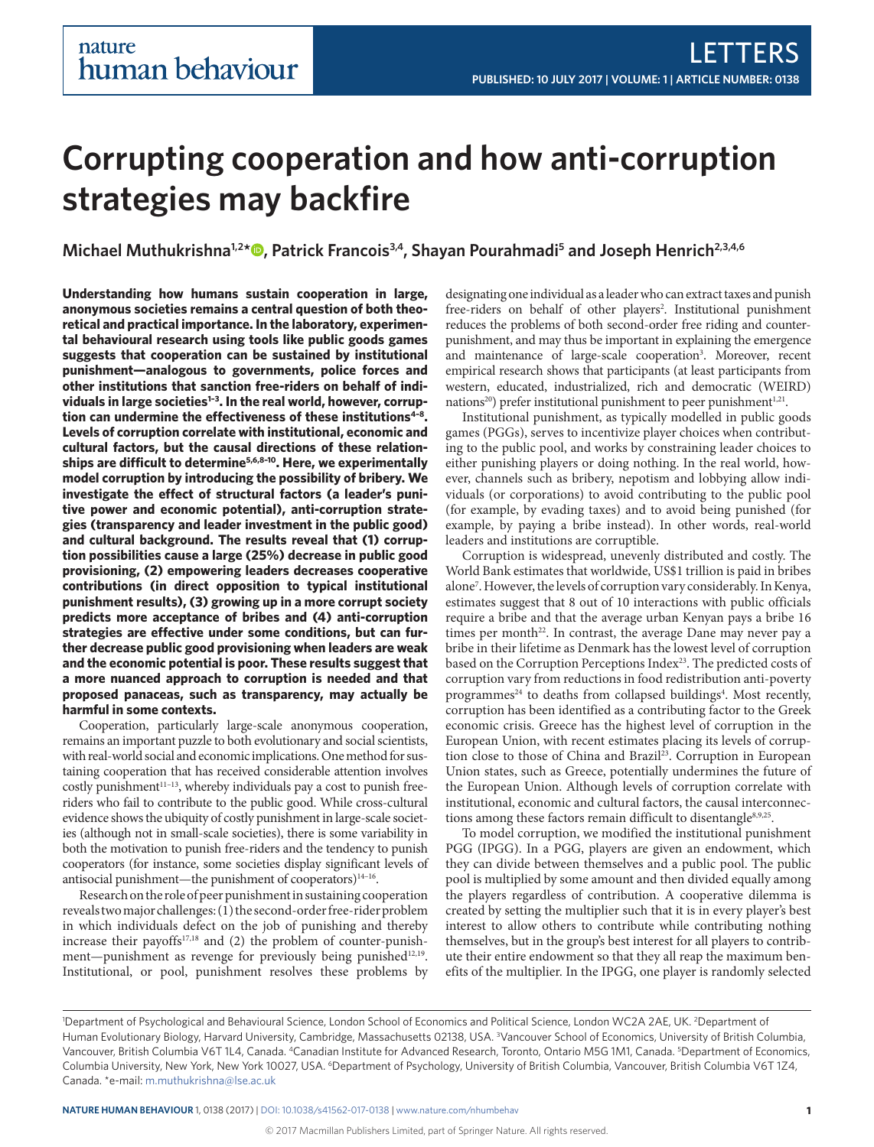# **Corrupting cooperation and how anti-corruption strategies may backfire**

**Michael Muthukrishna1,2 \* [,](http://orcid.org/0000-0002-7079-5166) Patrick Francois3,4, Shayan Pourahmadi5 and Joseph Henrich2,3,4,6**

**Understanding how humans sustain cooperation in large, anonymous societies remains a central question of both theoretical and practical importance. In the laboratory, experimental behavioural research using tools like public goods games suggests that cooperation can be sustained by institutional punishment—analogous to governments, police forces and other institutions that sanction free-riders on behalf of individuals in large societies[1–3](#page-4-0). In the real world, however, corruption can undermine the effectiveness of these institution[s4–8](#page-4-1). Levels of corruption correlate with institutional, economic and cultural factors, but the causal directions of these relationships are difficult to determine[5](#page-4-2)[,6](#page-4-3),[8–10](#page-4-4). Here, we experimentally model corruption by introducing the possibility of bribery. We investigate the effect of structural factors (a leader's punitive power and economic potential), anti-corruption strategies (transparency and leader investment in the public good) and cultural background. The results reveal that (1) corruption possibilities cause a large (25%) decrease in public good provisioning, (2) empowering leaders decreases cooperative contributions (in direct opposition to typical institutional punishment results), (3) growing up in a more corrupt society predicts more acceptance of bribes and (4) anti-corruption strategies are effective under some conditions, but can further decrease public good provisioning when leaders are weak and the economic potential is poor. These results suggest that a more nuanced approach to corruption is needed and that proposed panaceas, such as transparency, may actually be harmful in some contexts.**

Cooperation, particularly large-scale anonymous cooperation, remains an important puzzle to both evolutionary and social scientists, with real-world social and economic implications. One method for sustaining cooperation that has received considerable attention involves costly punishment<sup>11-13</sup>, whereby individuals pay a cost to punish freeriders who fail to contribute to the public good. While cross-cultural evidence shows the ubiquity of costly punishment in large-scale societies (although not in small-scale societies), there is some variability in both the motivation to punish free-riders and the tendency to punish cooperators (for instance, some societies display significant levels of antisocial punishment—the punishment of cooperators) $14-16$ .

Research on the role of peer punishment in sustaining cooperation reveals two major challenges: (1) the second-order free-rider problem in which individuals defect on the job of punishing and thereby increase their payoffs<sup>[17](#page-4-7),18</sup> and (2) the problem of counter-punish-ment—punishment as revenge for previously being punished<sup>[12](#page-4-9),19</sup>. Institutional, or pool, punishment resolves these problems by designating one individual as a leader who can extract taxes and punish free-riders on behalf of other players<sup>2</sup>. Institutional punishment reduces the problems of both second-order free riding and counterpunishment, and may thus be important in explaining the emergence and maintenance of large-scale cooperation<sup>[3](#page-4-12)</sup>. Moreover, recent empirical research shows that participants (at least participants from western, educated, industrialized, rich and democratic (WEIRD) nations<sup>20</sup>) prefer institutional punishment to peer punishment<sup>1[,21](#page-4-14)</sup>.

Institutional punishment, as typically modelled in public goods games (PGGs), serves to incentivize player choices when contributing to the public pool, and works by constraining leader choices to either punishing players or doing nothing. In the real world, however, channels such as bribery, nepotism and lobbying allow individuals (or corporations) to avoid contributing to the public pool (for example, by evading taxes) and to avoid being punished (for example, by paying a bribe instead). In other words, real-world leaders and institutions are corruptible.

Corruption is widespread, unevenly distributed and costly. The World Bank estimates that worldwide, US\$1 trillion is paid in bribes alone[7](#page-4-15) . However, the levels of corruption vary considerably. In Kenya, estimates suggest that 8 out of 10 interactions with public officials require a bribe and that the average urban Kenyan pays a bribe 16 times per month<sup>[22](#page-4-16)</sup>. In contrast, the average Dane may never pay a bribe in their lifetime as Denmark has the lowest level of corruption based on the Corruption Perceptions Index<sup>23</sup>. The predicted costs of corruption vary from reductions in food redistribution anti-poverty programmes<sup>[24](#page-4-18)</sup> to deaths from collapsed buildings<sup>[4](#page-4-1)</sup>. Most recently, corruption has been identified as a contributing factor to the Greek economic crisis. Greece has the highest level of corruption in the European Union, with recent estimates placing its levels of corruption close to those of China and Brazil<sup>23</sup>. Corruption in European Union states, such as Greece, potentially undermines the future of the European Union. Although levels of corruption correlate with institutional, economic and cultural factors, the causal interconnec-tions among these factors remain difficult to disentangle<sup>[8](#page-4-4)[,9](#page-4-19),25</sup>.

To model corruption, we modified the institutional punishment PGG (IPGG). In a PGG, players are given an endowment, which they can divide between themselves and a public pool. The public pool is multiplied by some amount and then divided equally among the players regardless of contribution. A cooperative dilemma is created by setting the multiplier such that it is in every player's best interest to allow others to contribute while contributing nothing themselves, but in the group's best interest for all players to contribute their entire endowment so that they all reap the maximum benefits of the multiplier. In the IPGG, one player is randomly selected

<sup>1</sup> Department of Psychological and Behavioural Science, London School of Economics and Political Science, London WC2A 2AE, UK. 2 Department of Human Evolutionary Biology, Harvard University, Cambridge, Massachusetts 02138, USA. <sup>3</sup>Vancouver School of Economics, University of British Columbia, Vancouver, British Columbia V6T 1L4, Canada. <sup>4</sup>Canadian Institute for Advanced Research, Toronto, Ontario M5G 1M1, Canada. <sup>5</sup>Department of Economics, Columbia University, New York, New York 10027, USA. <sup>6</sup>Department of Psychology, University of British Columbia, Vancouver, British Columbia V6T 1Z4, Canada. \*e-mail: [m.muthukrishna@lse.ac.uk](mailto:m.muthukrishna@lse.ac.uk)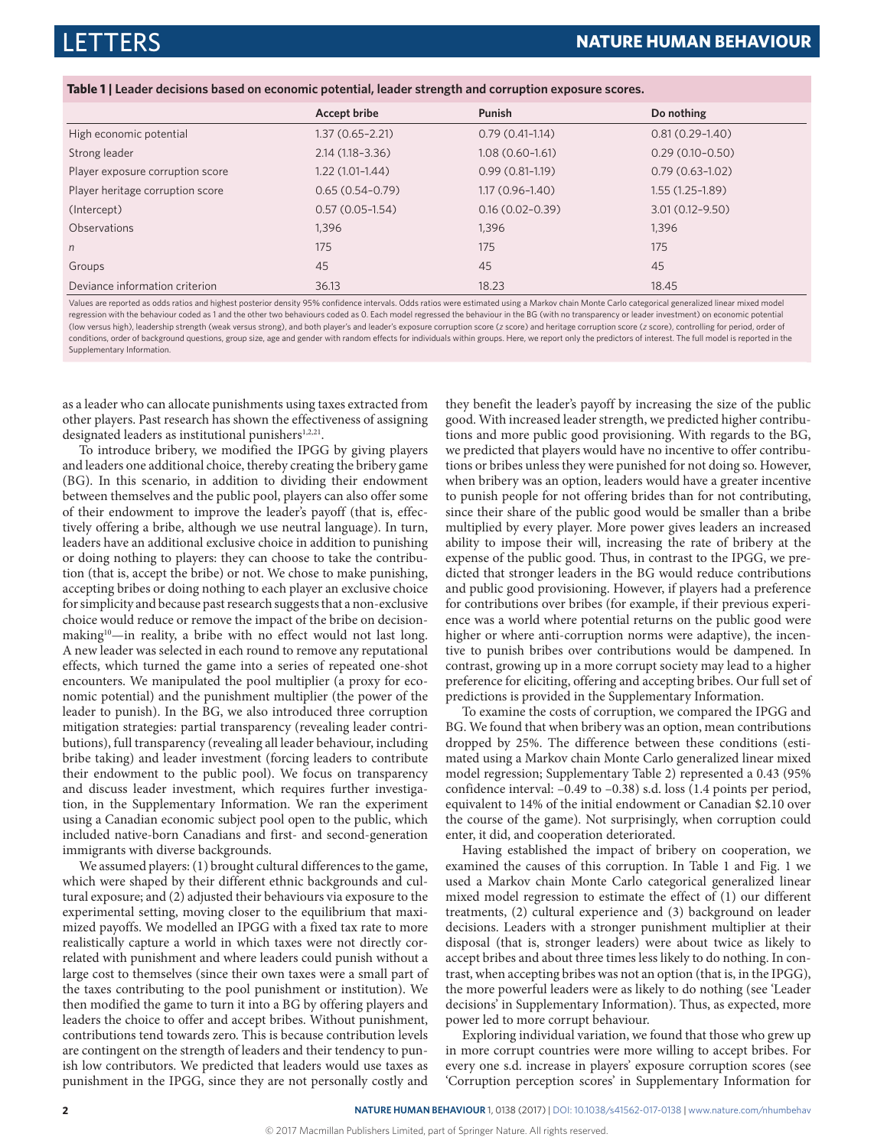<span id="page-1-0"></span>

|  |  |  |  | Table 1   Leader decisions based on economic potential, leader strength and corruption exposure scores. |
|--|--|--|--|---------------------------------------------------------------------------------------------------------|
|  |  |  |  |                                                                                                         |

|                                  | <b>Accept bribe</b> | Punish              | Do nothing          |
|----------------------------------|---------------------|---------------------|---------------------|
| High economic potential          | $1.37(0.65 - 2.21)$ | $0.79(0.41-1.14)$   | $0.81(0.29 - 1.40)$ |
| Strong leader                    | $2.14(1.18-3.36)$   | $1.08(0.60 - 1.61)$ | $0.29(0.10 - 0.50)$ |
| Player exposure corruption score | $1.22(1.01-1.44)$   | $0.99(0.81-1.19)$   | $0.79(0.63 - 1.02)$ |
| Player heritage corruption score | $0.65(0.54-0.79)$   | $1.17(0.96 - 1.40)$ | $1.55(1.25-1.89)$   |
| (Intercept)                      | $0.57(0.05-1.54)$   | $0.16(0.02 - 0.39)$ | $3.01(0.12 - 9.50)$ |
| <b>Observations</b>              | 1.396               | 1.396               | 1,396               |
| n                                | 175                 | 175                 | 175                 |
| Groups                           | 45                  | 45                  | 45                  |
| Deviance information criterion   | 36.13               | 18.23               | 18.45               |

Values are reported as odds ratios and highest posterior density 95% confidence intervals. Odds ratios were estimated using a Markov chain Monte Carlo categorical generalized linear mixed model regression with the behaviour coded as 1 and the other two behaviours coded as 0. Each model regressed the behaviour in the BG (with no transparency or leader investment) on economic potential (low versus high), leadership strength (weak versus strong), and both player's and leader's exposure corruption score (*z* score) and heritage corruption score (*z* score), controlling for period, order of conditions, order of background questions, group size, age and gender with random effects for individuals within groups. Here, we report only the predictors of interest. The full model is reported in the Supplementary Information.

as a leader who can allocate punishments using taxes extracted from other players. Past research has shown the effectiveness of assigning designated leaders as institutional punishers<sup>[1,](#page-4-0)[2](#page-4-11),21</sup>.

To introduce bribery, we modified the IPGG by giving players and leaders one additional choice, thereby creating the bribery game (BG). In this scenario, in addition to dividing their endowment between themselves and the public pool, players can also offer some of their endowment to improve the leader's payoff (that is, effectively offering a bribe, although we use neutral language). In turn, leaders have an additional exclusive choice in addition to punishing or doing nothing to players: they can choose to take the contribution (that is, accept the bribe) or not. We chose to make punishing, accepting bribes or doing nothing to each player an exclusive choice for simplicity and because past research suggests that a non-exclusive choice would reduce or remove the impact of the bribe on decisionmaking<sup>10</sup>—in reality, a bribe with no effect would not last long. A new leader was selected in each round to remove any reputational effects, which turned the game into a series of repeated one-shot encounters. We manipulated the pool multiplier (a proxy for economic potential) and the punishment multiplier (the power of the leader to punish). In the BG, we also introduced three corruption mitigation strategies: partial transparency (revealing leader contributions), full transparency (revealing all leader behaviour, including bribe taking) and leader investment (forcing leaders to contribute their endowment to the public pool). We focus on transparency and discuss leader investment, which requires further investigation, in the Supplementary Information. We ran the experiment using a Canadian economic subject pool open to the public, which included native-born Canadians and first- and second-generation immigrants with diverse backgrounds.

We assumed players: (1) brought cultural differences to the game, which were shaped by their different ethnic backgrounds and cultural exposure; and (2) adjusted their behaviours via exposure to the experimental setting, moving closer to the equilibrium that maximized payoffs. We modelled an IPGG with a fixed tax rate to more realistically capture a world in which taxes were not directly correlated with punishment and where leaders could punish without a large cost to themselves (since their own taxes were a small part of the taxes contributing to the pool punishment or institution). We then modified the game to turn it into a BG by offering players and leaders the choice to offer and accept bribes. Without punishment, contributions tend towards zero. This is because contribution levels are contingent on the strength of leaders and their tendency to punish low contributors. We predicted that leaders would use taxes as punishment in the IPGG, since they are not personally costly and

they benefit the leader's payoff by increasing the size of the public good. With increased leader strength, we predicted higher contributions and more public good provisioning. With regards to the BG, we predicted that players would have no incentive to offer contributions or bribes unless they were punished for not doing so. However, when bribery was an option, leaders would have a greater incentive to punish people for not offering brides than for not contributing, since their share of the public good would be smaller than a bribe multiplied by every player. More power gives leaders an increased ability to impose their will, increasing the rate of bribery at the expense of the public good. Thus, in contrast to the IPGG, we predicted that stronger leaders in the BG would reduce contributions and public good provisioning. However, if players had a preference for contributions over bribes (for example, if their previous experience was a world where potential returns on the public good were higher or where anti-corruption norms were adaptive), the incentive to punish bribes over contributions would be dampened. In contrast, growing up in a more corrupt society may lead to a higher preference for eliciting, offering and accepting bribes. Our full set of predictions is provided in the Supplementary Information.

To examine the costs of corruption, we compared the IPGG and BG. We found that when bribery was an option, mean contributions dropped by 25%. The difference between these conditions (estimated using a Markov chain Monte Carlo generalized linear mixed model regression; Supplementary Table 2) represented a 0.43 (95% confidence interval: –0.49 to –0.38) s.d. loss (1.4 points per period, equivalent to 14% of the initial endowment or Canadian \$2.10 over the course of the game). Not surprisingly, when corruption could enter, it did, and cooperation deteriorated.

Having established the impact of bribery on cooperation, we examined the causes of this corruption. In [Table 1](#page-1-0) and [Fig. 1](#page-2-0) we used a Markov chain Monte Carlo categorical generalized linear mixed model regression to estimate the effect of (1) our different treatments, (2) cultural experience and (3) background on leader decisions. Leaders with a stronger punishment multiplier at their disposal (that is, stronger leaders) were about twice as likely to accept bribes and about three times less likely to do nothing. In contrast, when accepting bribes was not an option (that is, in the IPGG), the more powerful leaders were as likely to do nothing (see 'Leader decisions' in Supplementary Information). Thus, as expected, more power led to more corrupt behaviour.

Exploring individual variation, we found that those who grew up in more corrupt countries were more willing to accept bribes. For every one s.d. increase in players' exposure corruption scores (see 'Corruption perception scores' in Supplementary Information for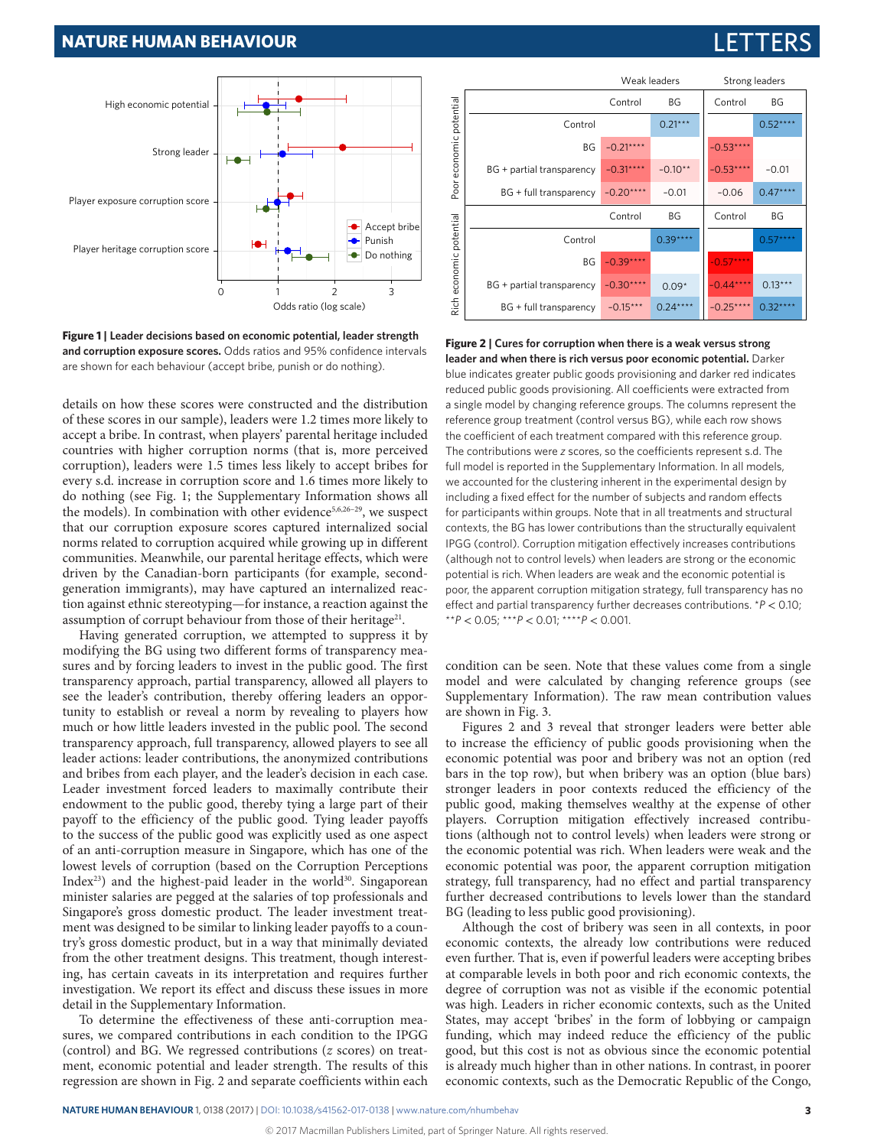#### **NATURE HUMAN BEHAVIOUR** 1, 0138 (2017) | [DOI: 10.1038/s41562-017-0138](http://dx.doi.org/10.1038/s41562-017-0138) | [www.nature.com/nhumbehav](http://www.nature.com/nhumbehav)

Poor economic potential

Poor

economic potential

Rich economic potential

 $\frac{1}{2}$ 

economic potential

## **NATURE HUMAN BEHAVIOUR**



<span id="page-2-0"></span>**Figure 1 | Leader decisions based on economic potential, leader strength and corruption exposure scores.** Odds ratios and 95% confidence intervals are shown for each behaviour (accept bribe, punish or do nothing).

details on how these scores were constructed and the distribution of these scores in our sample), leaders were 1.2 times more likely to accept a bribe. In contrast, when players' parental heritage included countries with higher corruption norms (that is, more perceived corruption), leaders were 1.5 times less likely to accept bribes for every s.d. increase in corruption score and 1.6 times more likely to do nothing (see [Fig. 1;](#page-2-0) the Supplementary Information shows all the models). In combination with other evidence<sup>[5,](#page-4-2)[6](#page-4-3),26-29</sup>, we suspect that our corruption exposure scores captured internalized social norms related to corruption acquired while growing up in different communities. Meanwhile, our parental heritage effects, which were driven by the Canadian-born participants (for example, secondgeneration immigrants), may have captured an internalized reaction against ethnic stereotyping—for instance, a reaction against the assumption of corrupt behaviour from those of their heritage<sup>21</sup>.

Having generated corruption, we attempted to suppress it by modifying the BG using two different forms of transparency measures and by forcing leaders to invest in the public good. The first transparency approach, partial transparency, allowed all players to see the leader's contribution, thereby offering leaders an opportunity to establish or reveal a norm by revealing to players how much or how little leaders invested in the public pool. The second transparency approach, full transparency, allowed players to see all leader actions: leader contributions, the anonymized contributions and bribes from each player, and the leader's decision in each case. Leader investment forced leaders to maximally contribute their endowment to the public good, thereby tying a large part of their payoff to the efficiency of the public good. Tying leader payoffs to the success of the public good was explicitly used as one aspect of an anti-corruption measure in Singapore, which has one of the lowest levels of corruption (based on the Corruption Perceptions Index<sup>[23](#page-4-17)</sup>) and the highest-paid leader in the world<sup>30</sup>. Singaporean minister salaries are pegged at the salaries of top professionals and Singapore's gross domestic product. The leader investment treatment was designed to be similar to linking leader payoffs to a country's gross domestic product, but in a way that minimally deviated from the other treatment designs. This treatment, though interesting, has certain caveats in its interpretation and requires further investigation. We report its effect and discuss these issues in more detail in the Supplementary Information.

To determine the effectiveness of these anti-corruption measures, we compared contributions in each condition to the IPGG (control) and BG. We regressed contributions (*z* scores) on treatment, economic potential and leader strength. The results of this regression are shown in [Fig. 2](#page-2-1) and separate coefficients within each

**leader and when there is rich versus poor economic potential.** Darker blue indicates greater public goods provisioning and darker red indicates reduced public goods provisioning. All coefficients were extracted from a single model by changing reference groups. The columns represent the reference group treatment (control versus BG), while each row shows the coefficient of each treatment compared with this reference group. The contributions were *z* scores, so the coefficients represent s.d. The full model is reported in the Supplementary Information. In all models, we accounted for the clustering inherent in the experimental design by including a fixed effect for the number of subjects and random effects for participants within groups. Note that in all treatments and structural contexts, the BG has lower contributions than the structurally equivalent IPGG (control). Corruption mitigation effectively increases contributions (although not to control levels) when leaders are strong or the economic potential is rich. When leaders are weak and the economic potential is poor, the apparent corruption mitigation strategy, full transparency has no effect and partial transparency further decreases contributions. \**P* < 0.10; \*\**P* < 0.05; \*\*\**P* < 0.01; \*\*\*\**P* < 0.001.

condition can be seen. Note that these values come from a single model and were calculated by changing reference groups (see Supplementary Information). The raw mean contribution values are shown in [Fig. 3.](#page-3-0)

Figures 2 and [3](#page-3-0) reveal that stronger leaders were better able to increase the efficiency of public goods provisioning when the economic potential was poor and bribery was not an option (red bars in the top row), but when bribery was an option (blue bars) stronger leaders in poor contexts reduced the efficiency of the public good, making themselves wealthy at the expense of other players. Corruption mitigation effectively increased contributions (although not to control levels) when leaders were strong or the economic potential was rich. When leaders were weak and the economic potential was poor, the apparent corruption mitigation strategy, full transparency, had no effect and partial transparency further decreased contributions to levels lower than the standard BG (leading to less public good provisioning).

Although the cost of bribery was seen in all contexts, in poor economic contexts, the already low contributions were reduced even further. That is, even if powerful leaders were accepting bribes at comparable levels in both poor and rich economic contexts, the degree of corruption was not as visible if the economic potential was high. Leaders in richer economic contexts, such as the United States, may accept 'bribes' in the form of lobbying or campaign funding, which may indeed reduce the efficiency of the public good, but this cost is not as obvious since the economic potential is already much higher than in other nations. In contrast, in poorer economic contexts, such as the Democratic Republic of the Congo,

# Weak leaders Strong leaders

 $-0.53**$ 

 $-0.57**$ 

Control BG Control BG

Control BG

 $-0.53***$  –0.01  $-0.06$  0.47\*\*\*\*

 $-0.44***$  0.13\*\*\*  $-0.25***$  0.32\*\*\*

 $0.52***$ 

 $0.57***$ 

Control BG  $Control$  0.21\*\*\*  $BG -0.21***$ 

Control 0.39\*\*\*\*  $RG$  –0.39\*\*\*

 $-0.31***$  $-0.20***$ 

BG + partial transparency  $-0.31***$  -0.10\* BG + full transparency  $-0.20***$  -0.01

 $BG +$  partial transparency  $\boxed{-0.30***}$  0.09 BG + full transparency  $-0.15***$  0.24\*\*\*

<span id="page-2-1"></span>**Figure 2 | Cures for corruption when there is a weak versus strong**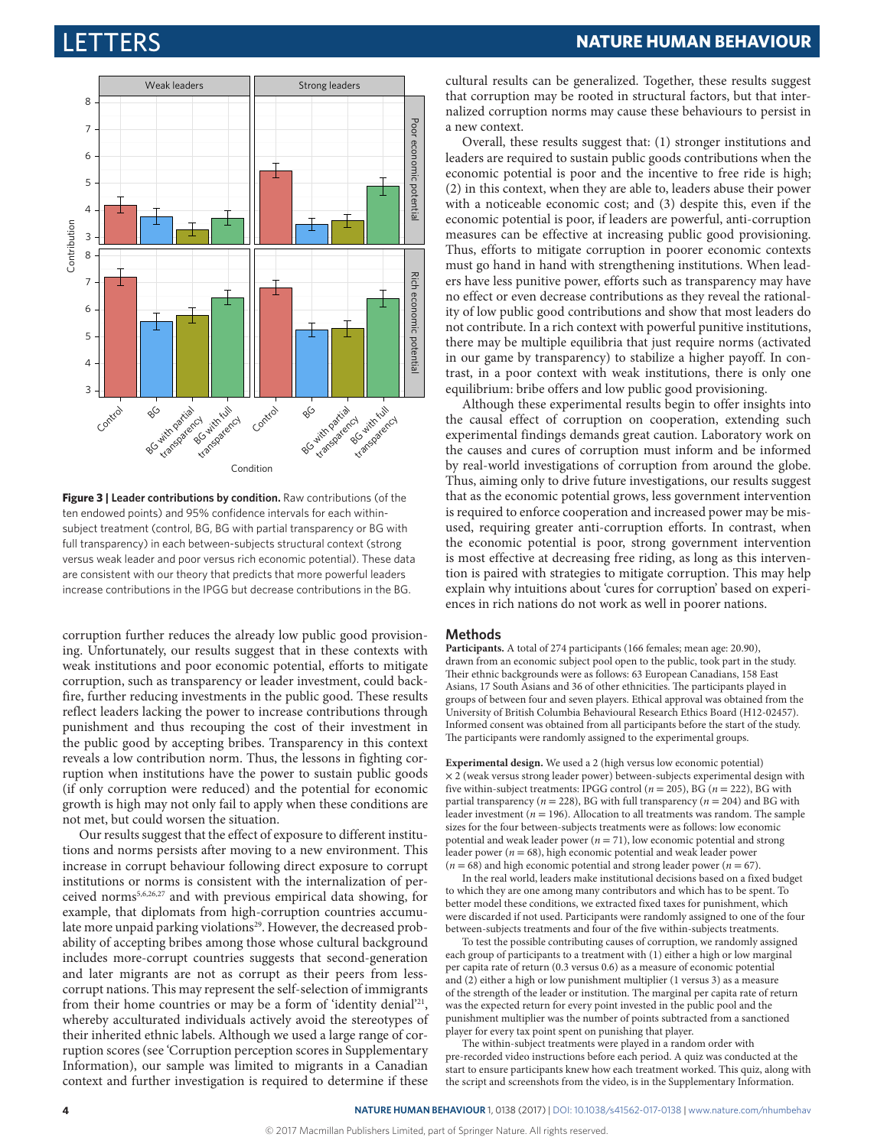

<span id="page-3-0"></span>**Figure 3 | Leader contributions by condition.** Raw contributions (of the ten endowed points) and 95% confidence intervals for each withinsubject treatment (control, BG, BG with partial transparency or BG with full transparency) in each between-subjects structural context (strong versus weak leader and poor versus rich economic potential). These data are consistent with our theory that predicts that more powerful leaders increase contributions in the IPGG but decrease contributions in the BG.

corruption further reduces the already low public good provisioning. Unfortunately, our results suggest that in these contexts with weak institutions and poor economic potential, efforts to mitigate corruption, such as transparency or leader investment, could backfire, further reducing investments in the public good. These results reflect leaders lacking the power to increase contributions through punishment and thus recouping the cost of their investment in the public good by accepting bribes. Transparency in this context reveals a low contribution norm. Thus, the lessons in fighting corruption when institutions have the power to sustain public goods (if only corruption were reduced) and the potential for economic growth is high may not only fail to apply when these conditions are not met, but could worsen the situation.

Our results suggest that the effect of exposure to different institutions and norms persists after moving to a new environment. This increase in corrupt behaviour following direct exposure to corrupt institutions or norms is consistent with the internalization of perceived norm[s5,](#page-4-2)[6,](#page-4-3)[26](#page-4-22)[,27](#page-4-24) and with previous empirical data showing, for example, that diplomats from high-corruption countries accumulate more unpaid parking violations<sup>29</sup>. However, the decreased probability of accepting bribes among those whose cultural background includes more-corrupt countries suggests that second-generation and later migrants are not as corrupt as their peers from lesscorrupt nations. This may represent the self-selection of immigrants from their home countries or may be a form of 'identity denial['21,](#page-4-14) whereby acculturated individuals actively avoid the stereotypes of their inherited ethnic labels. Although we used a large range of corruption scores (see 'Corruption perception scores in Supplementary Information), our sample was limited to migrants in a Canadian context and further investigation is required to determine if these

cultural results can be generalized. Together, these results suggest that corruption may be rooted in structural factors, but that internalized corruption norms may cause these behaviours to persist in a new context.

Overall, these results suggest that: (1) stronger institutions and leaders are required to sustain public goods contributions when the economic potential is poor and the incentive to free ride is high; (2) in this context, when they are able to, leaders abuse their power with a noticeable economic cost; and (3) despite this, even if the economic potential is poor, if leaders are powerful, anti-corruption measures can be effective at increasing public good provisioning. Thus, efforts to mitigate corruption in poorer economic contexts must go hand in hand with strengthening institutions. When leaders have less punitive power, efforts such as transparency may have no effect or even decrease contributions as they reveal the rationality of low public good contributions and show that most leaders do not contribute. In a rich context with powerful punitive institutions, there may be multiple equilibria that just require norms (activated in our game by transparency) to stabilize a higher payoff. In contrast, in a poor context with weak institutions, there is only one equilibrium: bribe offers and low public good provisioning.

Although these experimental results begin to offer insights into the causal effect of corruption on cooperation, extending such experimental findings demands great caution. Laboratory work on the causes and cures of corruption must inform and be informed by real-world investigations of corruption from around the globe. Thus, aiming only to drive future investigations, our results suggest that as the economic potential grows, less government intervention is required to enforce cooperation and increased power may be misused, requiring greater anti-corruption efforts. In contrast, when the economic potential is poor, strong government intervention is most effective at decreasing free riding, as long as this intervention is paired with strategies to mitigate corruption. This may help explain why intuitions about 'cures for corruption' based on experiences in rich nations do not work as well in poorer nations.

#### **Methods**

**Participants.** A total of 274 participants (166 females; mean age: 20.90), drawn from an economic subject pool open to the public, took part in the study. Their ethnic backgrounds were as follows: 63 European Canadians, 158 East Asians, 17 South Asians and 36 of other ethnicities. The participants played in groups of between four and seven players. Ethical approval was obtained from the University of British Columbia Behavioural Research Ethics Board (H12-02457). Informed consent was obtained from all participants before the start of the study. The participants were randomly assigned to the experimental groups.

**Experimental design.** We used a 2 (high versus low economic potential)  $\times$  2 (weak versus strong leader power) between-subjects experimental design with five within-subject treatments: IPGG control ( $n = 205$ ), BG ( $n = 222$ ), BG with partial transparency ( $n = 228$ ), BG with full transparency ( $n = 204$ ) and BG with leader investment ( $n = 196$ ). Allocation to all treatments was random. The sample sizes for the four between-subjects treatments were as follows: low economic potential and weak leader power  $(n = 71)$ , low economic potential and strong leader power ( $n = 68$ ), high economic potential and weak leader power  $(n = 68)$  and high economic potential and strong leader power  $(n = 67)$ .

In the real world, leaders make institutional decisions based on a fixed budget to which they are one among many contributors and which has to be spent. To better model these conditions, we extracted fixed taxes for punishment, which were discarded if not used. Participants were randomly assigned to one of the four between-subjects treatments and four of the five within-subjects treatments.

To test the possible contributing causes of corruption, we randomly assigned each group of participants to a treatment with (1) either a high or low marginal per capita rate of return (0.3 versus 0.6) as a measure of economic potential and (2) either a high or low punishment multiplier (1 versus 3) as a measure of the strength of the leader or institution. The marginal per capita rate of return was the expected return for every point invested in the public pool and the punishment multiplier was the number of points subtracted from a sanctioned player for every tax point spent on punishing that player.

The within-subject treatments were played in a random order with pre-recorded video instructions before each period. A quiz was conducted at the start to ensure participants knew how each treatment worked. This quiz, along with the script and screenshots from the video, is in the Supplementary Information.